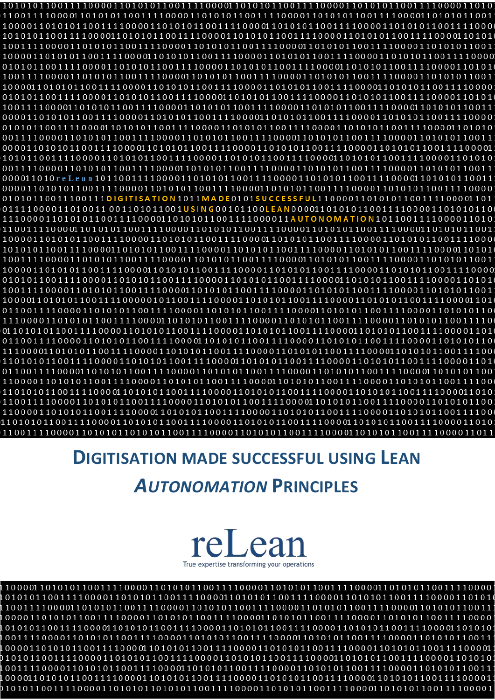$0\,1\,0\,1\,0\,1\,1\,0\,0\,0\,1\,1\,1\,1\,0\,0\,0\,0\,1\,1\,0\,1\,0\,1\,1\,1\,1\,0\,0\,0\,0\,0\,1\,1\,0\,1\,0\,1\,0\,1\,0\,1\,1\,1\,0\,0\,0\,0\,1\,1\,0\,0\,0\,1\,1\,0\,1\,0\,0\,0\,1\,1\,0\,1\,0\,1\,0\,1\,0\,1\,0\,1\,0\,1$  $0\,1\,0\,1\,0\,1\,1\,0\,0\,0\,1\,1\,1\,1\,0\,0\,0\,0\,1\,1\,0\,1\,0\,1\,1\,1\,1\,0\,0\,0\,0\,0\,1\,1\,0\,1\,0\,1\,0\,1\,1\,1\,0\,0\,0\,0\,1\,1\,1\,1\,1\,0\,1\,0\,0\,0\,0\,1\,1\,0\,1\,0\,1\,0\,1\,0\,1\,0\,1\,0\,1\,0\,1\,0$  $0\,1\,0\,1\,0\,1\,1\,0\,0\,0\,1\,1\,1\,1\,0\,0\,0\,0\,1\,1\,0\,0\,0\,1\,1\,1\,1\,0\,0\,0\,0\,1\,1\,0\,0\,0\,1\,1\,1\,1\,0\,0\,0\,0\,1\,0\,1\,0\,1\,0\,1\,1\,1\,0\,0\,0\,0\,1\,1\,0\,1\,0\,1\,0\,1\,0\,1\,0\,1\,0\,1\,0\,1\,0$  $0\,0\,1\,1\,1\,1\,0\,0\,0\,0\,1\,1\,0\,1\,0\,1\,1\,1\,0\,0\,1\,1\,1\,1\,0\,0\,0\,0\,1\,0\,1\,0\,0\,1\,1\,1\,1\,0\,0\,0\,0\,1\,0\,1\,0\,0\,1\,0\,1\,0\,1\,0\,1\,0\,1\,0\,1\,0\,1\,0\,1\,0\,1\,1\,0\,0\,1\,1\,0\,0\,1\,1\,0\,1$  $1\,0\,1\,0\,1\,1\,0\,0\,0\,1\,1\,1\,1\,0\,0\,0\,1\,1\,0\,1\,0\,1\,1\,1\,1\,0\,0\,0\,0\,1\,1\,0\,1\,0\,1\,0\,1\,1\,0\,0\,0\,0\,1\,1\,0\,1\,0\,1\,0\,1\,0\,1\,0\,1\,0\,1\,0\,1\,0\,1\,0\,1\,0\,1\,0\,1\,0\,1\,0\,1\,0\,1\,0\,1$ 01010110011100111DIGITISATION1011MADE0101SUCCESSFUL11000011010101100111100001101  $0\,1\,1\,0\,0\,1\,1\,1\,1\,0\,0\,0\,0\,1\,1\,0\,1\,0\,1\,1\,1\,0\,0\,0\,1\,1\,1\,0\,1\,0\,1\,0\,1\,0\,1\,0\,1\,1\,1\,0\,0\,0\,0\,1\,1\,0\,1\,0\,1\,0\,1\,1\,0\,0\,0\,0\,1\,1\,0\,1\,0\,0\,0\,1\,1\,0\,0\,0\,0\,1\,1\,0\,0\,0$  $1\,1\,0\,0\,0\,0\,1\,1\,0\,1\,0\,1\,1\,1\,0\,0\,0\,1\,1\,1\,1\,0\,0\,0\,1\,1\,0\,0\,0\,1\,1\,1\,1\,0\,0\,0\,0\,0\,1\,0\,0\,0\,1\,1\,1\,0\,0\,0\,0\,1\,1\,0\,1\,0\,1\,0\,1\,0\,1\,1\,1\,0\,0\,0\,1\,1\,1\,1\,0\,0\,0\,1\,1\,1$ 

# **DIGITISATION MADE SUCCESSFUL USING LEAN AUTONOMATION PRINCIPLES**



 $1\,0\,1\,0\,1\,0\,1\,1\,0\,0\,0\,1\,1\,1\,1\,0\,0\,0\,0\,1\,1\,0\,1\,0\,1\,0\,1\,1\,1\,0\,0\,0\,0\,1\,1\,1\,1\,0\,0\,0\,0\,1\,1\,1\,1\,0\,0\,0\,0\,1\,0\,1\,0\,1\,1\,1\,1\,0\,0\,0\,0\,1\,1\,1\,1\,0\,0\,0\,1\,1\,1\,1\,0\,0$  $1\,0\,0\,0\,0\,1\,1\,0\,1\,0\,1\,1\,1\,0\,0\,0\,1\,1\,1\,0\,0\,0\,0\,1\,0\,1\,0\,1\,1\,0\,0\,0\,0\,1\,1\,0\,1\,0\,0\,1\,1\,1\,1\,0\,0\,0\,0\,1\,1\,1\,1\,0\,0\,0\,0\,1\,1\,1\,1\,0\,0\,0\,0\,1\,1\,1\,1\,0\,0\,0\,0\,1\,1\,1$  $0\,0\,1\,1\,1\,1\,0\,0\,0\,0\,1\,1\,0\,0\,1\,0\,1\,1\,1\,0\,0\,0\,0\,1\,1\,0\,1\,0\,1\,0\,1\,0\,1\,1\,0\,0\,0\,0\,1\,1\,0\,0\,0\,1\,1\,0\,0\,0\,1\,1\,0\,0\,0\,0\,1\,1\,0\,0\,1\,1\,0\,0\,1\,1\,0\,0\,1\,1\,1\,0\,0\,0\,1\,1$  $1\,0\,0\,0\,0\,1\,1\,0\,1\,0\,1\,1\,1\,0\,0\,0\,1\,1\,1\,1\,0\,0\,0\,0\,1\,1\,0\,1\,0\,1\,0\,1\,0\,1\,0\,1\,0\,1\,0\,1\,1\,1\,0\,0\,0\,0\,1\,1\,1\,1\,0\,0\,0\,1\,1\,1\,1\,0\,0\,0\,0\,1\,1\,1\,1\,0\,0\,0\,0\,1\,1\,1\,1\,0$  $1\,0\,0\,0\,0\,1\,1\,0\,1\,1\,0\,1\,1\,1\,0\,0\,0\,0\,1\,1\,0\,1\,0\,1\,0\,1\,1\,0\,0\,1\,1\,1\,0\,0\,0\,0\,1\,1\,0\,1\,0\,0\,1\,1\,1\,1\,0\,0\,0\,0\,1\,1\,1\,1\,0\,0\,0\,0\,1\,1\,1\,1\,0\,0\,0\,0\,1\,1\,1\,1\,0\,0\,0\,1$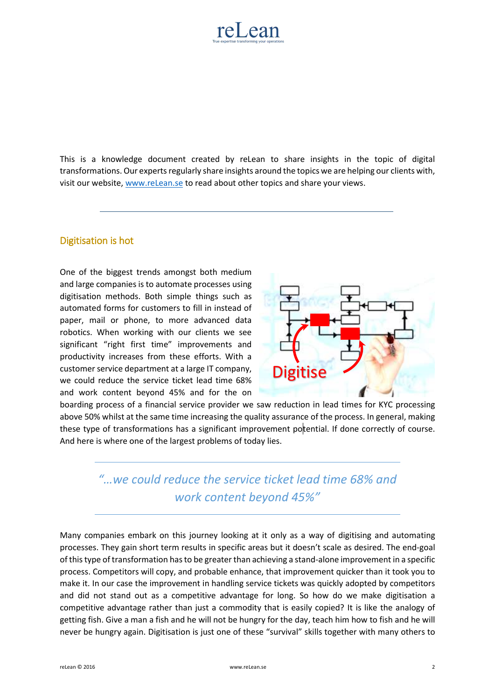

This is a knowledge document created by reLean to share insights in the topic of digital transformations. Our experts regularly share insights around the topics we are helping our clients with, visit our website[, www.reLean.se](http://www.relean.se/) to read about other topics and share your views.

# Digitisation is hot

One of the biggest trends amongst both medium and large companies is to automate processes using digitisation methods. Both simple things such as automated forms for customers to fill in instead of paper, mail or phone, to more advanced data robotics. When working with our clients we see significant "right first time" improvements and productivity increases from these efforts. With a customer service department at a large IT company, we could reduce the service ticket lead time 68% and work content beyond 45% and for the on



boarding process of a financial service provider we saw reduction in lead times for KYC processing above 50% whilst at the same time increasing the quality assurance of the process. In general, making these type of transformations has a significant improvement potential. If done correctly of course. And here is where one of the largest problems of today lies.

# *"…we could reduce the service ticket lead time 68% and work content beyond 45%"*

Many companies embark on this journey looking at it only as a way of digitising and automating processes. They gain short term results in specific areas but it doesn't scale as desired. The end-goal of this type of transformation has to be greater than achieving a stand-alone improvement in a specific process. Competitors will copy, and probable enhance, that improvement quicker than it took you to make it. In our case the improvement in handling service tickets was quickly adopted by competitors and did not stand out as a competitive advantage for long. So how do we make digitisation a competitive advantage rather than just a commodity that is easily copied? It is like the analogy of getting fish. Give a man a fish and he will not be hungry for the day, teach him how to fish and he will never be hungry again. Digitisation is just one of these "survival" skills together with many others to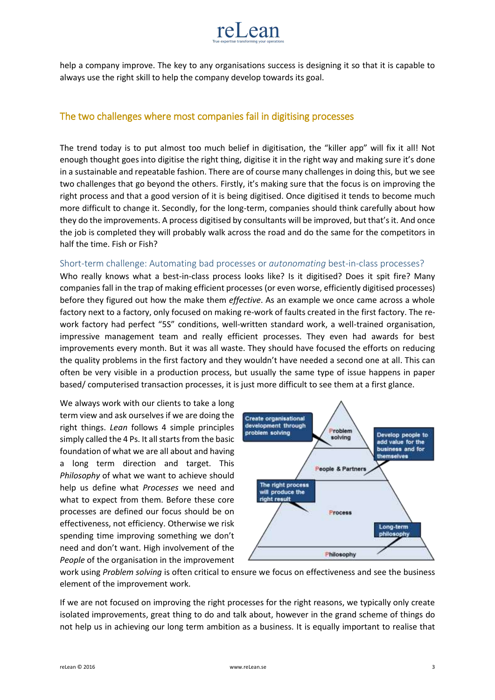

help a company improve. The key to any organisations success is designing it so that it is capable to always use the right skill to help the company develop towards its goal.

# The two challenges where most companies fail in digitising processes

The trend today is to put almost too much belief in digitisation, the "killer app" will fix it all! Not enough thought goes into digitise the right thing, digitise it in the right way and making sure it's done in a sustainable and repeatable fashion. There are of course many challenges in doing this, but we see two challenges that go beyond the others. Firstly, it's making sure that the focus is on improving the right process and that a good version of it is being digitised. Once digitised it tends to become much more difficult to change it. Secondly, for the long-term, companies should think carefully about how they do the improvements. A process digitised by consultants will be improved, but that's it. And once the job is completed they will probably walk across the road and do the same for the competitors in half the time. Fish or Fish?

#### Short-term challenge: Automating bad processes or *autonomating* best-in-class processes?

Who really knows what a best-in-class process looks like? Is it digitised? Does it spit fire? Many companies fall in the trap of making efficient processes (or even worse, efficiently digitised processes) before they figured out how the make them *effective*. As an example we once came across a whole factory next to a factory, only focused on making re-work of faults created in the first factory. The rework factory had perfect "5S" conditions, well-written standard work, a well-trained organisation, impressive management team and really efficient processes. They even had awards for best improvements every month. But it was all waste. They should have focused the efforts on reducing the quality problems in the first factory and they wouldn't have needed a second one at all. This can often be very visible in a production process, but usually the same type of issue happens in paper based/ computerised transaction processes, it is just more difficult to see them at a first glance.

We always work with our clients to take a long term view and ask ourselves if we are doing the right things. *Lean* follows 4 simple principles simply called the 4 Ps. It all starts from the basic foundation of what we are all about and having a long term direction and target. This *Philosophy* of what we want to achieve should help us define what *Processes* we need and what to expect from them. Before these core processes are defined our focus should be on effectiveness, not efficiency. Otherwise we risk spending time improving something we don't need and don't want. High involvement of the *People* of the organisation in the improvement



work using *Problem solving* is often critical to ensure we focus on effectiveness and see the business element of the improvement work.

If we are not focused on improving the right processes for the right reasons, we typically only create isolated improvements, great thing to do and talk about, however in the grand scheme of things do not help us in achieving our long term ambition as a business. It is equally important to realise that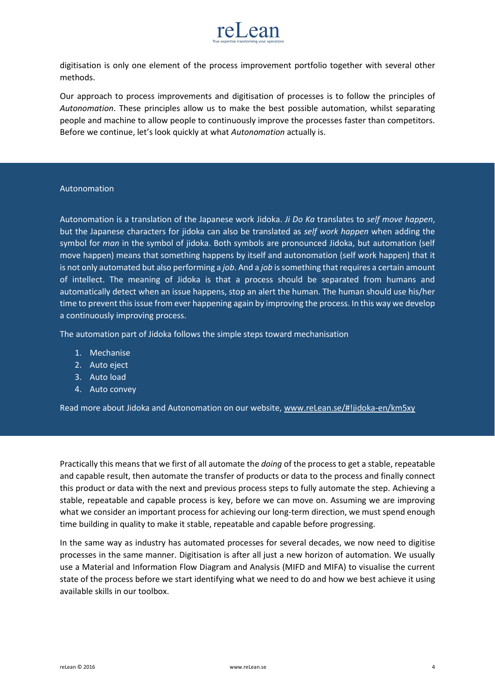

digitisation is only one element of the process improvement portfolio together with several other methods.

Our approach to process improvements and digitisation of processes is to follow the principles of *Autonomation*. These principles allow us to make the best possible automation, whilst separating people and machine to allow people to continuously improve the processes faster than competitors. Before we continue, let's look quickly at what *Autonomation* actually is.

#### Autonomation

Autonomation is a translation of the Japanese work Jidoka. *Ji Do Ka* translates to *self move happen*, but the Japanese characters for jidoka can also be translated as *self work happen* when adding the symbol for *man* in the symbol of jidoka. Both symbols are pronounced Jidoka, but automation (self move happen) means that something happens by itself and autonomation (self work happen) that it is not only automated but also performing a *job*. And a *job* is something that requires a certain amount of intellect. The meaning of Jidoka is that a process should be separated from humans and automatically detect when an issue happens, stop an alert the human. The human should use his/her time to prevent this issue from ever happening again by improving the process. In this way we develop a continuously improving process.

The automation part of Jidoka follows the simple steps toward mechanisation

- 1. Mechanise
- 2. Auto eject
- 3. Auto load
- 4. Auto convey

Read more about Jidoka and Autonomation on our website[, www.reLean.se/#!jidoka-en/km5xy](http://www.relean.se/#!jidoka-en/km5xy)

Practically this means that we first of all automate the *doing* of the process to get a stable, repeatable and capable result, then automate the transfer of products or data to the process and finally connect this product or data with the next and previous process steps to fully automate the step. Achieving a stable, repeatable and capable process is key, before we can move on. Assuming we are improving what we consider an important process for achieving our long-term direction, we must spend enough time building in quality to make it stable, repeatable and capable before progressing.

In the same way as industry has automated processes for several decades, we now need to digitise processes in the same manner. Digitisation is after all just a new horizon of automation. We usually use a Material and Information Flow Diagram and Analysis (MIFD and MIFA) to visualise the current state of the process before we start identifying what we need to do and how we best achieve it using available skills in our toolbox.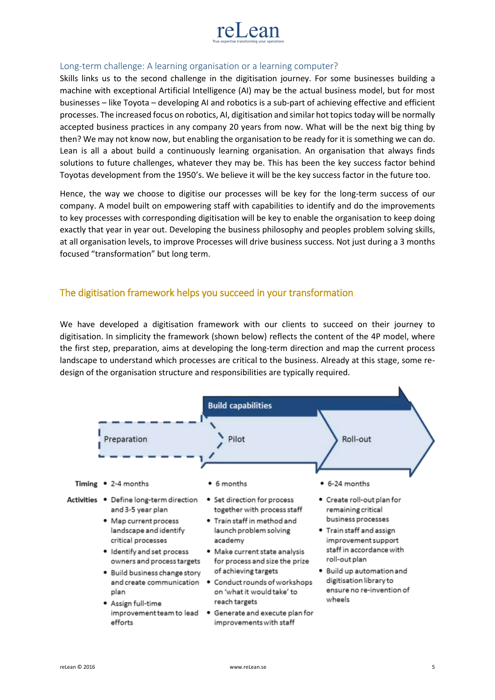

### Long-term challenge: A learning organisation or a learning computer?

Skills links us to the second challenge in the digitisation journey. For some businesses building a machine with exceptional Artificial Intelligence (AI) may be the actual business model, but for most businesses – like Toyota – developing AI and robotics is a sub-part of achieving effective and efficient processes. The increased focus on robotics, AI, digitisation and similar hot topics today will be normally accepted business practices in any company 20 years from now. What will be the next big thing by then? We may not know now, but enabling the organisation to be ready for it is something we can do. Lean is all a about build a continuously learning organisation. An organisation that always finds solutions to future challenges, whatever they may be. This has been the key success factor behind Toyotas development from the 1950's. We believe it will be the key success factor in the future too.

Hence, the way we choose to digitise our processes will be key for the long-term success of our company. A model built on empowering staff with capabilities to identify and do the improvements to key processes with corresponding digitisation will be key to enable the organisation to keep doing exactly that year in year out. Developing the business philosophy and peoples problem solving skills, at all organisation levels, to improve Processes will drive business success. Not just during a 3 months focused "transformation" but long term.

# The digitisation framework helps you succeed in your transformation

We have developed a digitisation framework with our clients to succeed on their journey to digitisation. In simplicity the framework (shown below) reflects the content of the 4P model, where the first step, preparation, aims at developing the long-term direction and map the current process landscape to understand which processes are critical to the business. Already at this stage, some redesign of the organisation structure and responsibilities are typically required.